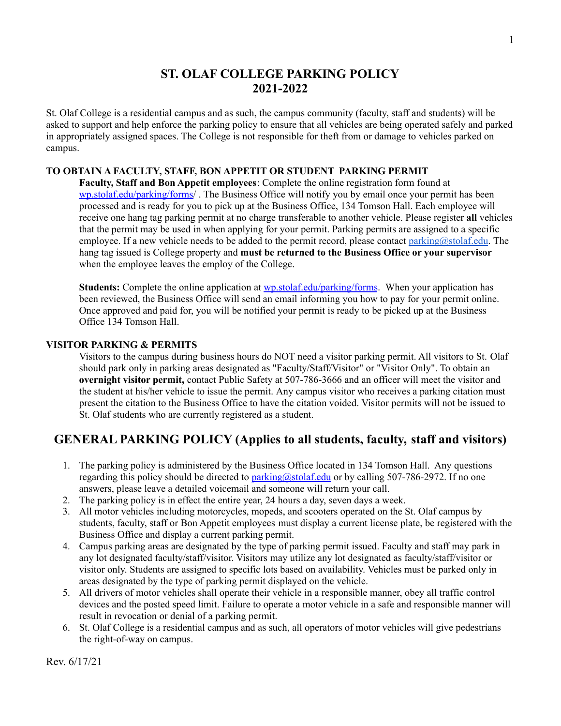# **ST. OLAF COLLEGE PARKING POLICY 2021-2022**

St. Olaf College is a residential campus and as such, the campus community (faculty, staff and students) will be asked to support and help enforce the parking policy to ensure that all vehicles are being operated safely and parked in appropriately assigned spaces. The College is not responsible for theft from or damage to vehicles parked on campus.

## **TO OBTAIN A FACULTY, STAFF, BON APPETIT OR STUDENT PARKING PERMIT**

**Faculty, Staff and Bon Appetit employees**: Complete the online registration form found at [wp.stolaf.edu/parking/forms/](http://www.stolaf.edu/parking/forms) . The Business Office will notify you by email once your permit has been processed and is ready for you to pick up at the Business Office, 134 Tomson Hall. Each employee will receive one hang tag parking permit at no charge transferable to another vehicle. Please register **all** vehicles that the permit may be used in when applying for your permit. Parking permits are assigned to a specific employee. If a new vehicle needs to be added to the permit record, please contact [parking@stolaf.edu.](mailto:parking@stolaf.edu) The hang tag issued is College property and **must be returned to the Business Office or your supervisor** when the employee leaves the employ of the College.

**Students:** Complete the online application at [wp.stolaf.edu/parking/forms](http://www.stolaf.edu/parking/forms). When your application has been reviewed, the Business Office will send an email informing you how to pay for your permit online. Once approved and paid for, you will be notified your permit is ready to be picked up at the Business Office 134 Tomson Hall.

### **VISITOR PARKING & PERMITS**

Visitors to the campus during business hours do NOT need a visitor parking permit. All visitors to St. Olaf should park only in parking areas designated as "Faculty/Staff/Visitor" or "Visitor Only". To obtain an **overnight visitor permit,** contact Public Safety at 507-786-3666 and an officer will meet the visitor and the student at his/her vehicle to issue the permit. Any campus visitor who receives a parking citation must present the citation to the Business Office to have the citation voided. Visitor permits will not be issued to St. Olaf students who are currently registered as a student.

# **GENERAL PARKING POLICY (Applies to all students, faculty, staff and visitors)**

- 1. The parking policy is administered by the Business Office located in 134 Tomson Hall. Any questions regarding this policy should be directed to [parking@stolaf.edu](mailto:parking@stolaf.edu) or by calling 507-786-2972. If no one answers, please leave a detailed voicemail and someone will return your call.
- 2. The parking policy is in effect the entire year, 24 hours a day, seven days a week.
- 3. All motor vehicles including motorcycles, mopeds, and scooters operated on the St. Olaf campus by students, faculty, staff or Bon Appetit employees must display a current license plate, be registered with the Business Office and display a current parking permit.
- 4. Campus parking areas are designated by the type of parking permit issued. Faculty and staff may park in any lot designated faculty/staff/visitor. Visitors may utilize any lot designated as faculty/staff/visitor or visitor only. Students are assigned to specific lots based on availability. Vehicles must be parked only in areas designated by the type of parking permit displayed on the vehicle.
- 5. All drivers of motor vehicles shall operate their vehicle in a responsible manner, obey all traffic control devices and the posted speed limit. Failure to operate a motor vehicle in a safe and responsible manner will result in revocation or denial of a parking permit.
- 6. St. Olaf College is a residential campus and as such, all operators of motor vehicles will give pedestrians the right-of-way on campus.

Rev. 6/17/21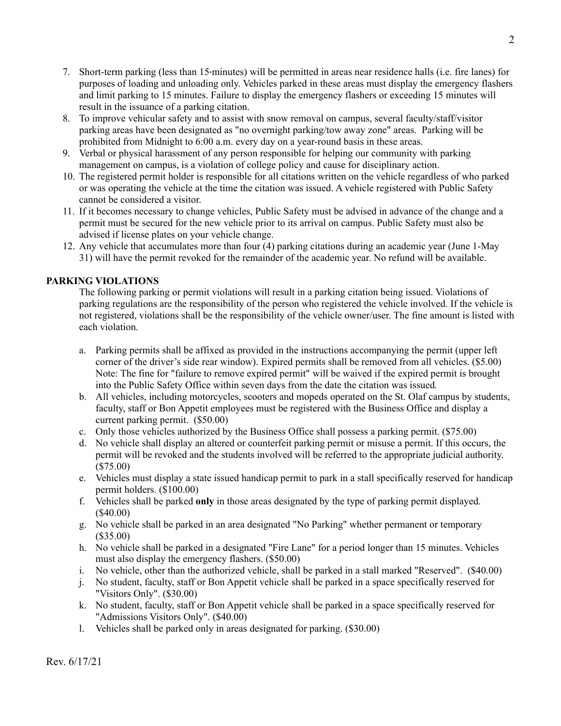- 7. Short-term parking (less than 15 minutes) will be permitted in areas near residence halls (i.e. fire lanes) for purposes of loading and unloading only. Vehicles parked in these areas must display the emergency flashers and limit parking to 15 minutes. Failure to display the emergency flashers or exceeding 15 minutes will result in the issuance of a parking citation.
- 8. To improve vehicular safety and to assist with snow removal on campus, several faculty/staff/visitor parking areas have been designated as "no overnight parking/tow away zone" areas. Parking will be prohibited from Midnight to 6:00 a.m. every day on a year-round basis in these areas.
- 9. Verbal or physical harassment of any person responsible for helping our community with parking management on campus, is a violation of college policy and cause for disciplinary action.
- 10. The registered permit holder is responsible for all citations written on the vehicle regardless of who parked or was operating the vehicle at the time the citation was issued. A vehicle registered with Public Safety cannot be considered a visitor.
- 11. If it becomes necessary to change vehicles, Public Safety must be advised in advance of the change and a permit must be secured for the new vehicle prior to its arrival on campus. Public Safety must also be advised if license plates on your vehicle change.
- 12. Any vehicle that accumulates more than four (4) parking citations during an academic year (June 1-May 31) will have the permit revoked for the remainder of the academic year. No refund will be available.

# **PARKING VIOLATIONS**

The following parking or permit violations will result in a parking citation being issued. Violations of parking regulations are the responsibility of the person who registered the vehicle involved. If the vehicle is not registered, violations shall be the responsibility of the vehicle owner/user. The fine amount is listed with each violation.

- a. Parking permits shall be affixed as provided in the instructions accompanying the permit (upper left corner of the driver's side rear window). Expired permits shall be removed from all vehicles. (\$5.00) Note: The fine for "failure to remove expired permit" will be waived if the expired permit is brought into the Public Safety Office within seven days from the date the citation was issued*.*
- b. All vehicles, including motorcycles, scooters and mopeds operated on the St. Olaf campus by students, faculty, staff or Bon Appetit employees must be registered with the Business Office and display a current parking permit. (\$50.00)
- c. Only those vehicles authorized by the Business Office shall possess a parking permit. (\$75.00)
- d. No vehicle shall display an altered or counterfeit parking permit or misuse a permit. If this occurs, the permit will be revoked and the students involved will be referred to the appropriate judicial authority. (\$75.00)
- e. Vehicles must display a state issued handicap permit to park in a stall specifically reserved for handicap permit holders. (\$100.00)
- f. Vehicles shall be parked **only** in those areas designated by the type of parking permit displayed. (\$40.00)
- g. No vehicle shall be parked in an area designated "No Parking" whether permanent or temporary (\$35.00)
- h. No vehicle shall be parked in a designated "Fire Lane" for a period longer than 15 minutes. Vehicles must also display the emergency flashers. (\$50.00)
- i. No vehicle, other than the authorized vehicle, shall be parked in a stall marked "Reserved". (\$40.00)
- j. No student, faculty, staff or Bon Appetit vehicle shall be parked in a space specifically reserved for "Visitors Only". (\$30.00)
- k. No student, faculty, staff or Bon Appetit vehicle shall be parked in a space specifically reserved for "Admissions Visitors Only". (\$40.00)
- l. Vehicles shall be parked only in areas designated for parking. (\$30.00)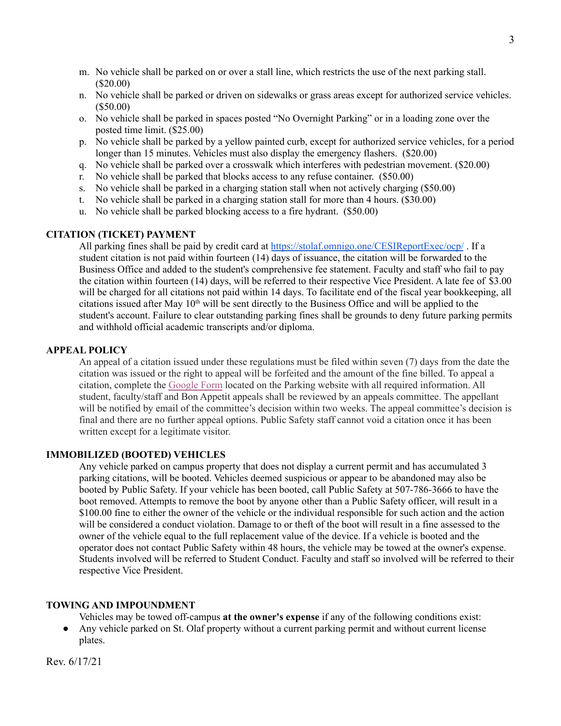- m. No vehicle shall be parked on or over a stall line, which restricts the use of the next parking stall. (\$20.00)
- n. No vehicle shall be parked or driven on sidewalks or grass areas except for authorized service vehicles. (\$50.00)
- o. No vehicle shall be parked in spaces posted "No Overnight Parking" or in a loading zone over the posted time limit. (\$25.00)
- p. No vehicle shall be parked by a yellow painted curb, except for authorized service vehicles, for a period longer than 15 minutes. Vehicles must also display the emergency flashers. (\$20.00)
- q. No vehicle shall be parked over a crosswalk which interferes with pedestrian movement. (\$20.00)
- r. No vehicle shall be parked that blocks access to any refuse container. (\$50.00)
- s. No vehicle shall be parked in a charging station stall when not actively charging (\$50.00)
- t. No vehicle shall be parked in a charging station stall for more than 4 hours. (\$30.00)
- u. No vehicle shall be parked blocking access to a fire hydrant. (\$50.00)

### **CITATION (TICKET) PAYMENT**

All parking fines shall be paid by credit card at <https://stolaf.omnigo.one/CESIReportExec/ocp/> . If a student citation is not paid within fourteen (14) days of issuance, the citation will be forwarded to the Business Office and added to the student's comprehensive fee statement. Faculty and staff who fail to pay the citation within fourteen (14) days, will be referred to their respective Vice President. A late fee of \$3.00 will be charged for all citations not paid within 14 days. To facilitate end of the fiscal year bookkeeping, all citations issued after May  $10<sup>th</sup>$  will be sent directly to the Business Office and will be applied to the student's account. Failure to clear outstanding parking fines shall be grounds to deny future parking permits and withhold official academic transcripts and/or diploma.

## **APPEAL POLICY**

An appeal of a citation issued under these regulations must be filed within seven (7) days from the date the citation was issued or the right to appeal will be forfeited and the amount of the fine billed. To appeal a citation, complete the [Google](https://docs.google.com/forms/d/1Vzz6b8qn0PSP50U2z_mPQ3I4xPsgUtji8c1KJX6JOwY/edit) Form located on the Parking website with all required information. All student, faculty/staff and Bon Appetit appeals shall be reviewed by an appeals committee. The appellant will be notified by email of the committee's decision within two weeks. The appeal committee's decision is final and there are no further appeal options. Public Safety staff cannot void a citation once it has been written except for a legitimate visitor.

## **IMMOBILIZED (BOOTED) VEHICLES**

Any vehicle parked on campus property that does not display a current permit and has accumulated 3 parking citations, will be booted. Vehicles deemed suspicious or appear to be abandoned may also be booted by Public Safety. If your vehicle has been booted, call Public Safety at 507-786-3666 to have the boot removed. Attempts to remove the boot by anyone other than a Public Safety officer, will result in a \$100.00 fine to either the owner of the vehicle or the individual responsible for such action and the action will be considered a conduct violation. Damage to or theft of the boot will result in a fine assessed to the owner of the vehicle equal to the full replacement value of the device. If a vehicle is booted and the operator does not contact Public Safety within 48 hours, the vehicle may be towed at the owner's expense. Students involved will be referred to Student Conduct. Faculty and staff so involved will be referred to their respective Vice President.

# **TOWING AND IMPOUNDMENT**

Vehicles may be towed off-campus **at the owner's expense** if any of the following conditions exist:

● Any vehicle parked on St. Olaf property without a current parking permit and without current license plates.

Rev. 6/17/21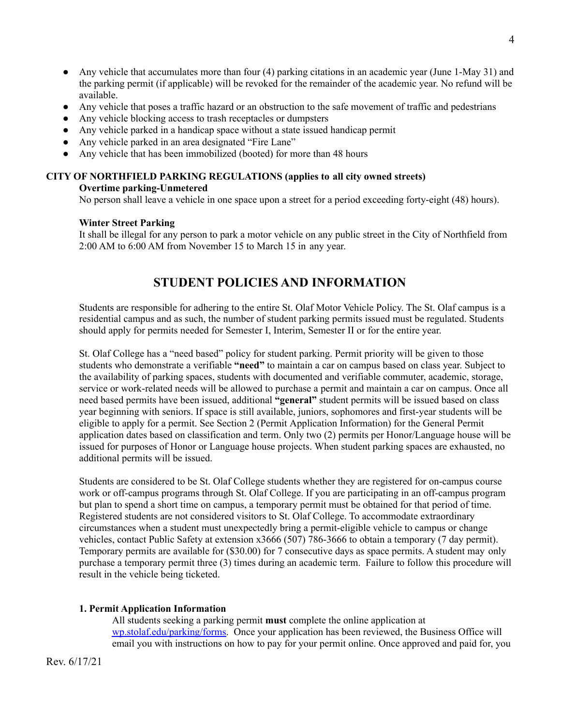- Any vehicle that accumulates more than four (4) parking citations in an academic year (June 1-May 31) and the parking permit (if applicable) will be revoked for the remainder of the academic year. No refund will be available.
- Any vehicle that poses a traffic hazard or an obstruction to the safe movement of traffic and pedestrians
- Any vehicle blocking access to trash receptacles or dumpsters
- Any vehicle parked in a handicap space without a state issued handicap permit
- Any vehicle parked in an area designated "Fire Lane"
- Any vehicle that has been immobilized (booted) for more than 48 hours

# **CITY OF NORTHFIELD PARKING REGULATIONS (applies to all city owned streets) Overtime parking-Unmetered**

No person shall leave a vehicle in one space upon a street for a period exceeding forty-eight (48) hours).

# **Winter Street Parking**

It shall be illegal for any person to park a motor vehicle on any public street in the City of Northfield from 2:00 AM to 6:00 AM from November 15 to March 15 in any year.

# **STUDENT POLICIES AND INFORMATION**

Students are responsible for adhering to the entire St. Olaf Motor Vehicle Policy. The St. Olaf campus is a residential campus and as such, the number of student parking permits issued must be regulated. Students should apply for permits needed for Semester I, Interim, Semester II or for the entire year.

St. Olaf College has a "need based" policy for student parking. Permit priority will be given to those students who demonstrate a verifiable **"need"** to maintain a car on campus based on class year. Subject to the availability of parking spaces, students with documented and verifiable commuter, academic, storage, service or work-related needs will be allowed to purchase a permit and maintain a car on campus. Once all need based permits have been issued, additional **"general"** student permits will be issued based on class year beginning with seniors. If space is still available, juniors, sophomores and first-year students will be eligible to apply for a permit. See Section 2 (Permit Application Information) for the General Permit application dates based on classification and term. Only two (2) permits per Honor/Language house will be issued for purposes of Honor or Language house projects. When student parking spaces are exhausted, no additional permits will be issued.

Students are considered to be St. Olaf College students whether they are registered for on-campus course work or off-campus programs through St. Olaf College. If you are participating in an off-campus program but plan to spend a short time on campus, a temporary permit must be obtained for that period of time. Registered students are not considered visitors to St. Olaf College. To accommodate extraordinary circumstances when a student must unexpectedly bring a permit-eligible vehicle to campus or change vehicles, contact Public Safety at extension x3666 (507) 786-3666 to obtain a temporary (7 day permit). Temporary permits are available for (\$30.00) for 7 consecutive days as space permits. A student may only purchase a temporary permit three (3) times during an academic term. Failure to follow this procedure will result in the vehicle being ticketed.

# **1. Permit Application Information**

All students seeking a parking permit **must** complete the online application at [wp.stolaf.edu/parking/forms.](http://www.stolaf.edu/parking/forms) Once your application has been reviewed, the Business Office will email you with instructions on how to pay for your permit online. Once approved and paid for, you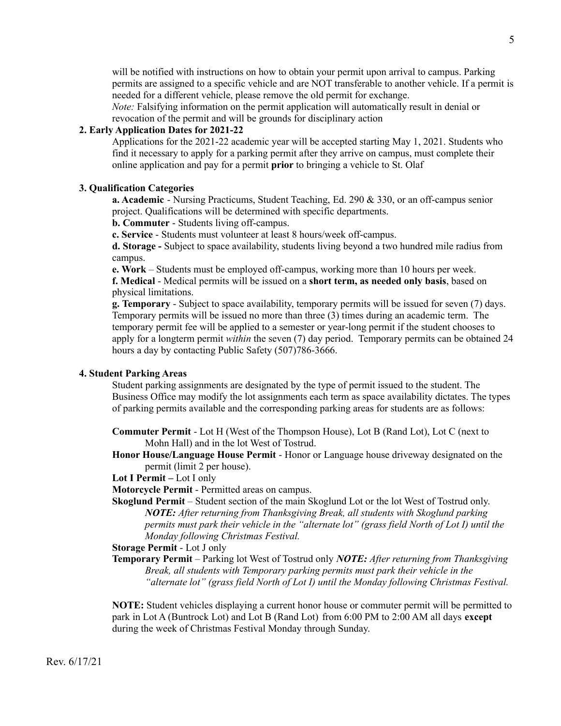will be notified with instructions on how to obtain your permit upon arrival to campus. Parking permits are assigned to a specific vehicle and are NOT transferable to another vehicle. If a permit is needed for a different vehicle, please remove the old permit for exchange.

*Note:* Falsifying information on the permit application will automatically result in denial or revocation of the permit and will be grounds for disciplinary action

# **2. Early Application Dates for 2021-22**

Applications for the 2021-22 academic year will be accepted starting May 1, 2021. Students who find it necessary to apply for a parking permit after they arrive on campus, must complete their online application and pay for a permit **prior** to bringing a vehicle to St. Olaf

### **3. Qualification Categories**

**a. Academic** - Nursing Practicums, Student Teaching, Ed. 290 & 330, or an off-campus senior project. Qualifications will be determined with specific departments.

**b. Commuter** - Students living off-campus.

**c. Service** - Students must volunteer at least 8 hours/week off-campus.

**d. Storage -** Subject to space availability, students living beyond a two hundred mile radius from campus.

**e. Work** – Students must be employed off-campus, working more than 10 hours per week. **f. Medical** - Medical permits will be issued on a **short term, as needed only basis**, based on physical limitations.

**g. Temporary** - Subject to space availability, temporary permits will be issued for seven (7) days. Temporary permits will be issued no more than three (3) times during an academic term. The temporary permit fee will be applied to a semester or year-long permit if the student chooses to apply for a longterm permit *within* the seven (7) day period. Temporary permits can be obtained 24 hours a day by contacting Public Safety (507)786-3666.

### **4. Student Parking Areas**

Student parking assignments are designated by the type of permit issued to the student. The Business Office may modify the lot assignments each term as space availability dictates. The types of parking permits available and the corresponding parking areas for students are as follows:

**Commuter Permit** - Lot H (West of the Thompson House), Lot B (Rand Lot), Lot C (next to Mohn Hall) and in the lot West of Tostrud.

**Honor House/Language House Permit** - Honor or Language house driveway designated on the permit (limit 2 per house).

**Lot I Permit –** Lot I only

**Motorcycle Permit** - Permitted areas on campus.

**Skoglund Permit** – Student section of the main Skoglund Lot or the lot West of Tostrud only. *NOTE: After returning from Thanksgiving Break, all students with Skoglund parking permits must park their vehicle in the "alternate lot" (grass field North of Lot I) until the Monday following Christmas Festival.*

**Storage Permit** - Lot J only

**Temporary Permit** – Parking lot West of Tostrud only *NOTE: After returning from Thanksgiving Break, all students with Temporary parking permits must park their vehicle in the "alternate lot" (grass field North of Lot I) until the Monday following Christmas Festival.*

**NOTE:** Student vehicles displaying a current honor house or commuter permit will be permitted to park in Lot A (Buntrock Lot) and Lot B (Rand Lot) from 6:00 PM to 2:00 AM all days **except** during the week of Christmas Festival Monday through Sunday.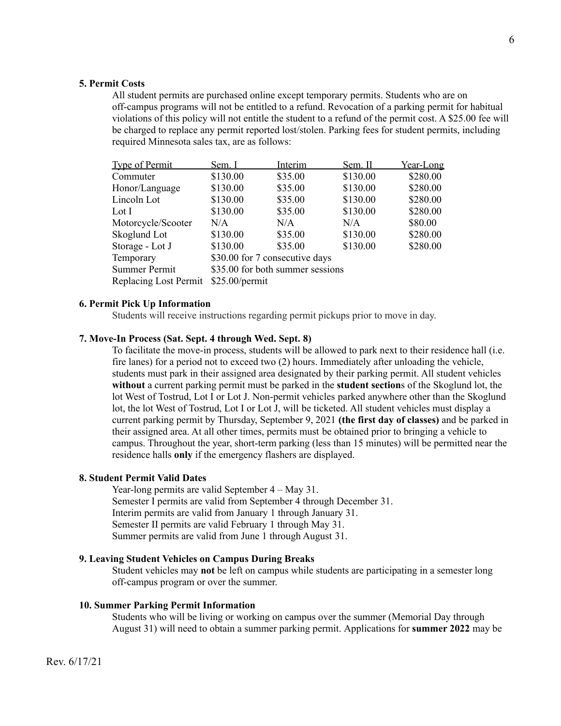### **5. Permit Costs**

All student permits are purchased online except temporary permits. Students who are on off-campus programs will not be entitled to a refund. Revocation of a parking permit for habitual violations of this policy will not entitle the student to a refund of the permit cost. A \$25.00 fee will be charged to replace any permit reported lost/stolen. Parking fees for student permits, including required Minnesota sales tax, are as follows:

| <b>Type of Permit</b> | Sem. I                           | Interim | Sem. II  | Year-Long |
|-----------------------|----------------------------------|---------|----------|-----------|
| Commuter              | \$130.00                         | \$35.00 | \$130.00 | \$280.00  |
| Honor/Language        | \$130.00                         | \$35.00 | \$130.00 | \$280.00  |
| Lincoln Lot           | \$130.00                         | \$35.00 | \$130.00 | \$280.00  |
| Lot I                 | \$130.00                         | \$35.00 | \$130.00 | \$280.00  |
| Motorcycle/Scooter    | N/A                              | N/A     | N/A      | \$80.00   |
| Skoglund Lot          | \$130.00                         | \$35.00 | \$130.00 | \$280.00  |
| Storage - Lot J       | \$130.00                         | \$35.00 | \$130.00 | \$280.00  |
| Temporary             | \$30.00 for 7 consecutive days   |         |          |           |
| <b>Summer Permit</b>  | \$35.00 for both summer sessions |         |          |           |
| Replacing Lost Permit | \$25.00/permit                   |         |          |           |

### **6. Permit Pick Up Information**

Students will receive instructions regarding permit pickups prior to move in day.

### **7. Move-In Process (Sat. Sept. 4 through Wed. Sept. 8)**

To facilitate the move-in process, students will be allowed to park next to their residence hall (i.e. fire lanes) for a period not to exceed two (2) hours. Immediately after unloading the vehicle, students must park in their assigned area designated by their parking permit. All student vehicles **without** a current parking permit must be parked in the **student section**s of the Skoglund lot, the lot West of Tostrud, Lot I or Lot J. Non-permit vehicles parked anywhere other than the Skoglund lot, the lot West of Tostrud, Lot I or Lot J, will be ticketed. All student vehicles must display a current parking permit by Thursday, September 9, 2021 **(the first day of classes)** and be parked in their assigned area. At all other times, permits must be obtained prior to bringing a vehicle to campus. Throughout the year, short-term parking (less than 15 minutes) will be permitted near the residence halls **only** if the emergency flashers are displayed.

### **8. Student Permit Valid Dates**

Year-long permits are valid September 4 – May 31. Semester I permits are valid from September 4 through December 31. Interim permits are valid from January 1 through January 31. Semester II permits are valid February 1 through May 31. Summer permits are valid from June 1 through August 31.

### **9. Leaving Student Vehicles on Campus During Breaks**

Student vehicles may **not** be left on campus while students are participating in a semester long off-campus program or over the summer.

### **10. Summer Parking Permit Information**

Students who will be living or working on campus over the summer (Memorial Day through August 31) will need to obtain a summer parking permit. Applications for **summer 2022** may be